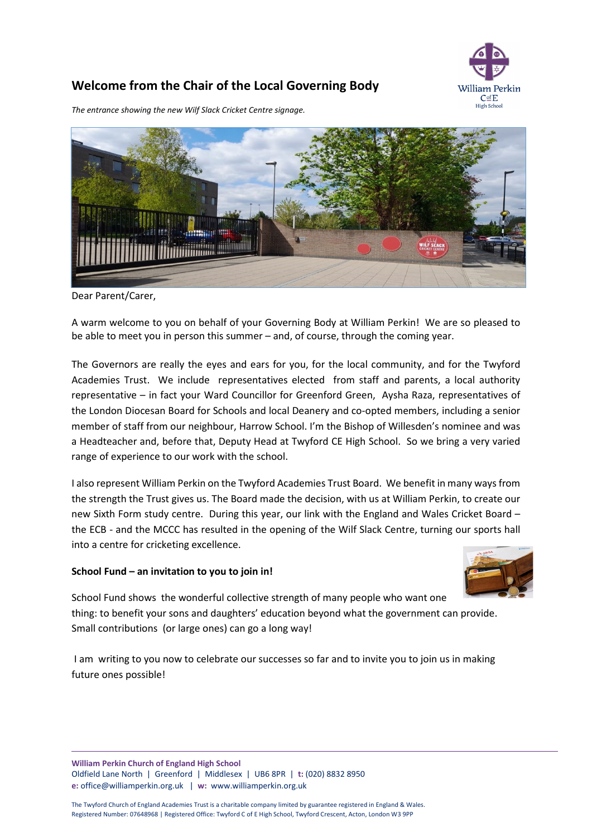

## **Welcome from the Chair of the Local Governing Body**

*The entrance showing the new Wilf Slack Cricket Centre signage.*



Dear Parent/Carer,

A warm welcome to you on behalf of your Governing Body at William Perkin! We are so pleased to be able to meet you in person this summer – and, of course, through the coming year.

The Governors are really the eyes and ears for you, for the local community, and for the Twyford Academies Trust. We include representatives elected from staff and parents, a local authority representative – in fact your Ward Councillor for Greenford Green, Aysha Raza, representatives of the London Diocesan Board for Schools and local Deanery and co-opted members, including a senior member of staff from our neighbour, Harrow School. I'm the Bishop of Willesden's nominee and was a Headteacher and, before that, Deputy Head at Twyford CE High School. So we bring a very varied range of experience to our work with the school.

I also represent William Perkin on the Twyford Academies Trust Board. We benefit in many ways from the strength the Trust gives us. The Board made the decision, with us at William Perkin, to create our new Sixth Form study centre. During this year, our link with the England and Wales Cricket Board – the ECB - and the MCCC has resulted in the opening of the Wilf Slack Centre, turning our sports hall into a centre for cricketing excellence.

## **School Fund – an invitation to you to join in!**



School Fund shows the wonderful collective strength of many people who want one thing: to benefit your sons and daughters' education beyond what the government can provide. Small contributions (or large ones) can go a long way!

I am writing to you now to celebrate our successes so far and to invite you to join us in making future ones possible!

**William Perkin Church of England High School** Oldfield Lane North | Greenford | Middlesex | UB6 8PR | **t:** (020) 8832 8950 **e:** [office@williamperkin.org.uk](mailto:office@williamperkin.org.uk) | **w:** [www.williamperkin.org.uk](http://www.williamperkin.org.uk/)

The Twyford Church of England Academies Trust is a charitable company limited by guarantee registered in England & Wales. Registered Number: 07648968 | Registered Office: Twyford C of E High School, Twyford Crescent, Acton, London W3 9PP